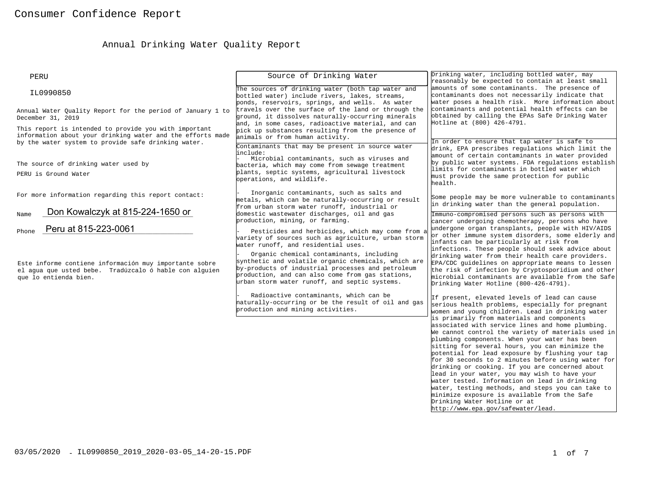# Annual Drinking Water Quality Report

| PERU                                                                                                                                                                       | Source of Drinking Water                                                                                                                                                                                                                                  | Drinking water, including bottled water, may<br>reasonably be expected to contain at least small                                                                                                                                                                                                                                                                                                                                                                                                                                                                                                                                                                                                                                                                                                                      |  |  |
|----------------------------------------------------------------------------------------------------------------------------------------------------------------------------|-----------------------------------------------------------------------------------------------------------------------------------------------------------------------------------------------------------------------------------------------------------|-----------------------------------------------------------------------------------------------------------------------------------------------------------------------------------------------------------------------------------------------------------------------------------------------------------------------------------------------------------------------------------------------------------------------------------------------------------------------------------------------------------------------------------------------------------------------------------------------------------------------------------------------------------------------------------------------------------------------------------------------------------------------------------------------------------------------|--|--|
| IL0990850                                                                                                                                                                  | The sources of drinking water (both tap water and<br>bottled water) include rivers, lakes, streams,<br>ponds, reservoirs, springs, and wells. As water                                                                                                    | amounts of some contaminants. The presence of<br>contaminants does not necessarily indicate that<br>water poses a health risk. More information about                                                                                                                                                                                                                                                                                                                                                                                                                                                                                                                                                                                                                                                                 |  |  |
| Annual Water Quality Report for the period of January 1 to<br>December 31, 2019                                                                                            | travels over the surface of the land or through the<br>ground, it dissolves naturally-occurring minerals<br>and, in some cases, radioactive material, and can                                                                                             | contaminants and potential health effects can be<br>obtained by calling the EPAs Safe Drinking Water<br>Hotline at (800) 426-4791.                                                                                                                                                                                                                                                                                                                                                                                                                                                                                                                                                                                                                                                                                    |  |  |
| This report is intended to provide you with important<br>information about your drinking water and the efforts made<br>by the water system to provide safe drinking water. | pick up substances resulting from the presence of<br>animals or from human activity.<br>Contaminants that may be present in source water                                                                                                                  | In order to ensure that tap water is safe to                                                                                                                                                                                                                                                                                                                                                                                                                                                                                                                                                                                                                                                                                                                                                                          |  |  |
| The source of drinking water used by<br>PERU is Ground Water                                                                                                               | include:<br>Microbial contaminants, such as viruses and<br>bacteria, which may come from sewage treatment<br>plants, septic systems, agricultural livestock                                                                                               | drink, EPA prescribes regulations which limit the<br>amount of certain contaminants in water provided<br>by public water systems. FDA regulations establish<br>limits for contaminants in bottled water which<br>must provide the same protection for public<br>health.                                                                                                                                                                                                                                                                                                                                                                                                                                                                                                                                               |  |  |
| For more information regarding this report contact:                                                                                                                        | Inorganic contaminants, such as salts and<br>metals, which can be naturally-occurring or result<br>from urban storm water runoff, industrial or                                                                                                           | Some people may be more vulnerable to contaminants<br>in drinking water than the general population.                                                                                                                                                                                                                                                                                                                                                                                                                                                                                                                                                                                                                                                                                                                  |  |  |
| Don Kowalczyk at 815-224-1650 or<br>Name<br>Peru at 815-223-0061<br>Phone                                                                                                  | domestic wastewater discharges, oil and gas<br>production, mining, or farming.<br>Pesticides and herbicides, which may come from a<br>variety of sources such as agriculture, urban storm<br>water runoff, and residential uses.                          | Immuno-compromised persons such as persons with<br>cancer undergoing chemotherapy, persons who have<br>undergone organ transplants, people with HIV/AIDS<br>or other immune system disorders, some elderly and<br>infants can be particularly at risk from                                                                                                                                                                                                                                                                                                                                                                                                                                                                                                                                                            |  |  |
| Este informe contiene información muy importante sobre<br>el aqua que usted bebe. Tradúzcalo ó hable con alquien<br>que lo entienda bien.                                  | Organic chemical contaminants, including<br>synthetic and volatile organic chemicals, which are<br>by-products of industrial processes and petroleum<br>production, and can also come from gas stations,<br>urban storm water runoff, and septic systems. | infections. These people should seek advice about<br>drinking water from their health care providers.<br>EPA/CDC guidelines on appropriate means to lessen<br>the risk of infection by Cryptosporidium and other<br>microbial contaminants are available from the Safe<br>Drinking Water Hotline (800-426-4791).                                                                                                                                                                                                                                                                                                                                                                                                                                                                                                      |  |  |
|                                                                                                                                                                            | Radioactive contaminants, which can be<br>naturally-occurring or be the result of oil and gas<br>production and mining activities.                                                                                                                        | If present, elevated levels of lead can cause<br>serious health problems, especially for pregnant<br>women and young children. Lead in drinking water<br>is primarily from materials and components<br>associated with service lines and home plumbing.<br>We cannot control the variety of materials used in<br>plumbing components. When your water has been<br>sitting for several hours, you can minimize the<br>potential for lead exposure by flushing your tap<br>for 30 seconds to 2 minutes before using water for<br>drinking or cooking. If you are concerned about<br>lead in your water, you may wish to have your<br>water tested. Information on lead in drinking<br>water, testing methods, and steps you can take to<br>minimize exposure is available from the Safe<br>Drinking Water Hotline or at |  |  |
|                                                                                                                                                                            |                                                                                                                                                                                                                                                           | http://www.epa.gov/safewater/lead.                                                                                                                                                                                                                                                                                                                                                                                                                                                                                                                                                                                                                                                                                                                                                                                    |  |  |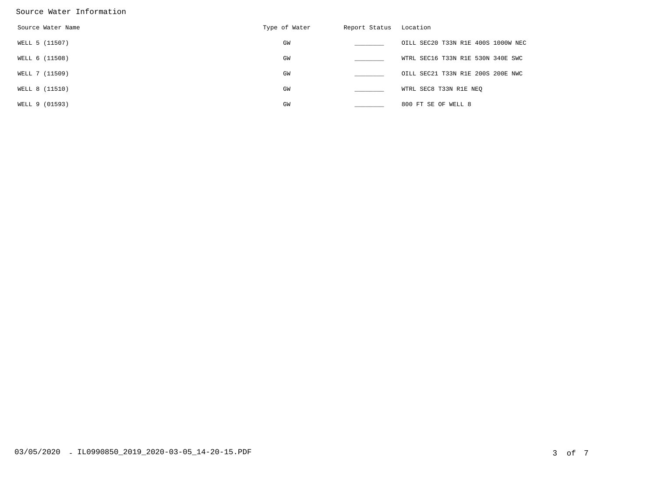#### Source Water Information

| Source Water Name | Type of Water | Report Status | Location                           |
|-------------------|---------------|---------------|------------------------------------|
| WELL 5 (11507)    | GW            |               | OILL SEC20 T33N R1E 400S 1000W NEC |
| WELL 6 (11508)    | GW            |               | WTRL SEC16 T33N R1E 530N 340E SWC  |
| WELL 7 (11509)    | GW            |               | OILL SEC21 T33N R1E 200S 200E NWC  |
| WELL 8 (11510)    | GW            |               | WTRL SEC8 T33N R1E NEQ             |
| WELL 9 (01593)    | GW            |               | 800 FT SE OF WELL 8                |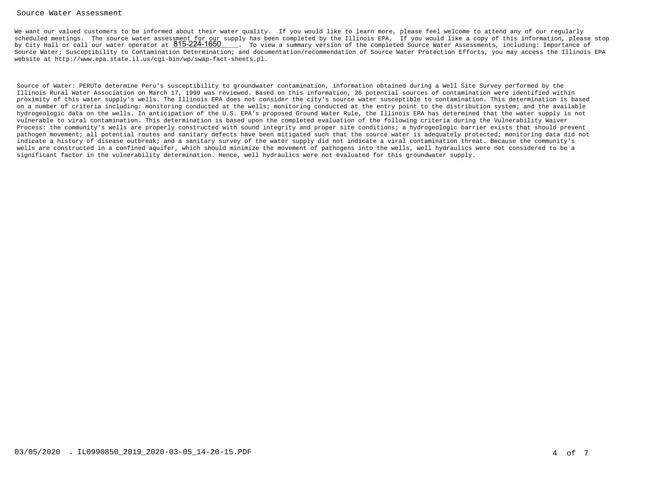#### Source Water Assessment

We want our valued customers to be informed about their water quality. If you would like to learn more, please feel welcome to attend any of our regularly scheduled meetings. The source water assessment for our supply has been completed by the Illinois EPA. If you would like a copy of this information, please stopby City Hall or call our water operator at 815-224-1650 . It is view a summary version of the completed Source Water Assessments, including: Importance of Source Water; Susceptibility to Contamination Determination; and documentation/recommendation of Source Water Protection Efforts, you may access the Illinois EPAwebsite at http://www.epa.state.il.us/cgi-bin/wp/swap-fact-sheets.pl.

Source of Water: PERUTo determine Peru's susceptibility to groundwater contamination, information obtained during a Well Site Survey performed by the Illinois Rural Water Association on March 17, 1999 was reviewed. Based on this information, 26 potential sources of contamination were identified within proximity of this water supply's wells. The Illinois EPA does not consider the city's source water susceptible to contamination. This determination is based on a number of criteria including: monitoring conducted at the wells; monitoring conducted at the entry point to the distribution system; and the available hydrogeologic data on the wells. In anticipation of the U.S. EPA's proposed Ground Water Rule, the Illinois EPA has determined that the water supply is notvulnerable to viral contamination. This determination is based upon the completed evaluation of the following criteria during the Vulnerability Waiver Process: the community's wells are properly constructed with sound integrity and proper site conditions; a hydrogeologic barrier exists that should prevent pathogen movement; all potential routes and sanitary defects have been mitigated such that the source water is adequately protected; monitoring data did notindicate a history of disease outbreak; and a sanitary survey of the water supply did not indicate a viral contamination threat. Because the community's wells are constructed in a confined aquifer, which should minimize the movement of pathogens into the wells, well hydraulics were not considered to be asignificant factor in the vulnerability determination. Hence, well hydraulics were not evaluated for this groundwater supply.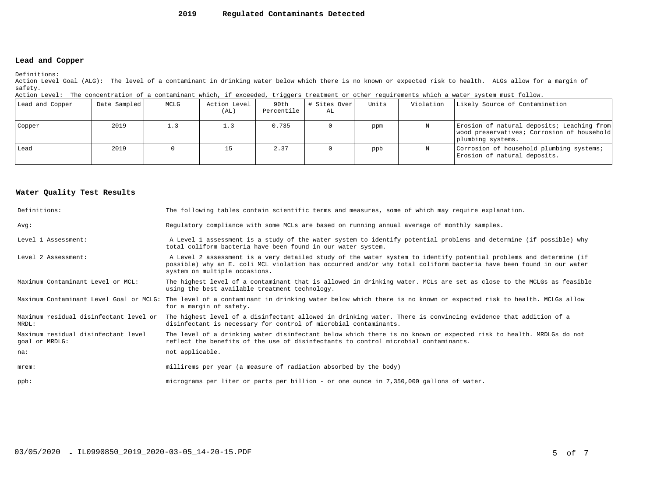#### **2019Regulated Contaminants Detected**

### **Lead and Copper**

Definitions:

 Action Level Goal (ALG): The level of a contaminant in drinking water below which there is no known or expected risk to health. ALGs allow for a margin ofsafety.

| Action Level: The concentration of a contaminant which, if exceeded, triggers treatment or other requirements which a water system must follow. |  |  |  |
|-------------------------------------------------------------------------------------------------------------------------------------------------|--|--|--|
|                                                                                                                                                 |  |  |  |

| Lead and Copper | Date Sampled | MCLG | Action Level<br>(AL) | 90th<br>Percentile | # Sites Over<br>AL | Units | Violation | Likely Source of Contamination                                                                                |
|-----------------|--------------|------|----------------------|--------------------|--------------------|-------|-----------|---------------------------------------------------------------------------------------------------------------|
| Copper          | 2019         | 1.3  | 1.3                  | 0.735              |                    | ppm   | N         | Erosion of natural deposits; Leaching from<br>wood preservatives; Corrosion of household<br>plumbing systems. |
| l Lead          | 2019         |      |                      | 2.37               |                    | ppb   | N         | Corrosion of household plumbing systems;<br>Erosion of natural deposits.                                      |

#### **Water Quality Test Results**

| Definitions:                                          | The following tables contain scientific terms and measures, some of which may require explanation.                                                                                                                                                                         |
|-------------------------------------------------------|----------------------------------------------------------------------------------------------------------------------------------------------------------------------------------------------------------------------------------------------------------------------------|
| Avq:                                                  | Regulatory compliance with some MCLs are based on running annual average of monthly samples.                                                                                                                                                                               |
| Level 1 Assessment:                                   | A Level 1 assessment is a study of the water system to identify potential problems and determine (if possible) why<br>total coliform bacteria have been found in our water system.                                                                                         |
| Level 2 Assessment:                                   | A Level 2 assessment is a very detailed study of the water system to identify potential problems and determine (if<br>possible) why an E. coli MCL violation has occurred and/or why total coliform bacteria have been found in our water<br>system on multiple occasions. |
| Maximum Contaminant Level or MCL:                     | The highest level of a contaminant that is allowed in drinking water. MCLs are set as close to the MCLGs as feasible<br>using the best available treatment technology.                                                                                                     |
|                                                       | Maximum Contaminant Level Goal or MCLG: The level of a contaminant in drinking water below which there is no known or expected risk to health. MCLGs allow<br>for a margin of safety.                                                                                      |
| Maximum residual disinfectant level or<br>MRDL:       | The highest level of a disinfectant allowed in drinking water. There is convincing evidence that addition of a<br>disinfectant is necessary for control of microbial contaminants.                                                                                         |
| Maximum residual disinfectant level<br>goal or MRDLG: | The level of a drinking water disinfectant below which there is no known or expected risk to health. MRDLGs do not<br>reflect the benefits of the use of disinfectants to control microbial contaminants.                                                                  |
| na:                                                   | not applicable.                                                                                                                                                                                                                                                            |
| $m$ rem:                                              | millirems per year (a measure of radiation absorbed by the body)                                                                                                                                                                                                           |
| $ppb$ :                                               | micrograms per liter or parts per billion - or one ounce in 7,350,000 gallons of water.                                                                                                                                                                                    |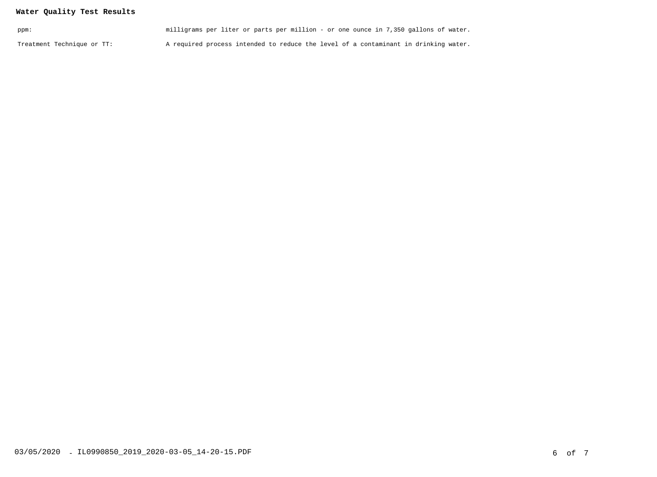## **Water Quality Test Results**

| ppm:                       | milligrams per liter or parts per million - or one ounce in 7,350 gallons of water. |  |
|----------------------------|-------------------------------------------------------------------------------------|--|
| Treatment Technique or TT: | A required process intended to reduce the level of a contaminant in drinking water. |  |